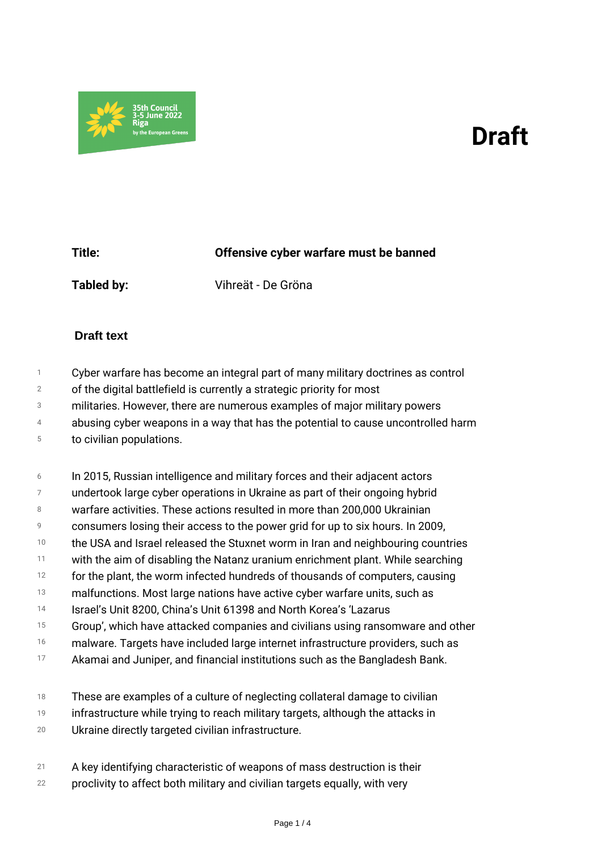## *Draft*



*Title: Offensive cyber warfare must be banned Tabled by: Vihreät - De Gröna*

## **Draft text**

- *1 Cyber warfare has become an integral part of many military doctrines as control*
- *2 of the digital battlefield is currently a strategic priority for most*
- *3 militaries. However, there are numerous examples of major military powers*
- *4 abusing cyber weapons in a way that has the potential to cause uncontrolled harm*
- *5 to civilian populations.*
- *6 In 2015, Russian intelligence and military forces and their adjacent actors*
- *7 undertook large cyber operations in Ukraine as part of their ongoing hybrid*
- *8 warfare activities. These actions resulted in more than 200,000 Ukrainian*
- *9 consumers losing their access to the power grid for up to six hours. In 2009,*
- *10 the USA and Israel released the Stuxnet worm in Iran and neighbouring countries*
- *11 with the aim of disabling the Natanz uranium enrichment plant. While searching*
- *12 for the plant, the worm infected hundreds of thousands of computers, causing*
- *13 malfunctions. Most large nations have active cyber warfare units, such as*
- *14 Israel's Unit 8200, China's Unit 61398 and North Korea's 'Lazarus*
- *15 Group', which have attacked companies and civilians using ransomware and other*
- *16 malware. Targets have included large internet infrastructure providers, such as*
- *17 Akamai and Juniper, and financial institutions such as the Bangladesh Bank.*
- *18 These are examples of a culture of neglecting collateral damage to civilian*
- *19 infrastructure while trying to reach military targets, although the attacks in*
- *20 Ukraine directly targeted civilian infrastructure.*
- *21 A key identifying characteristic of weapons of mass destruction is their*
- *22 proclivity to affect both military and civilian targets equally, with very*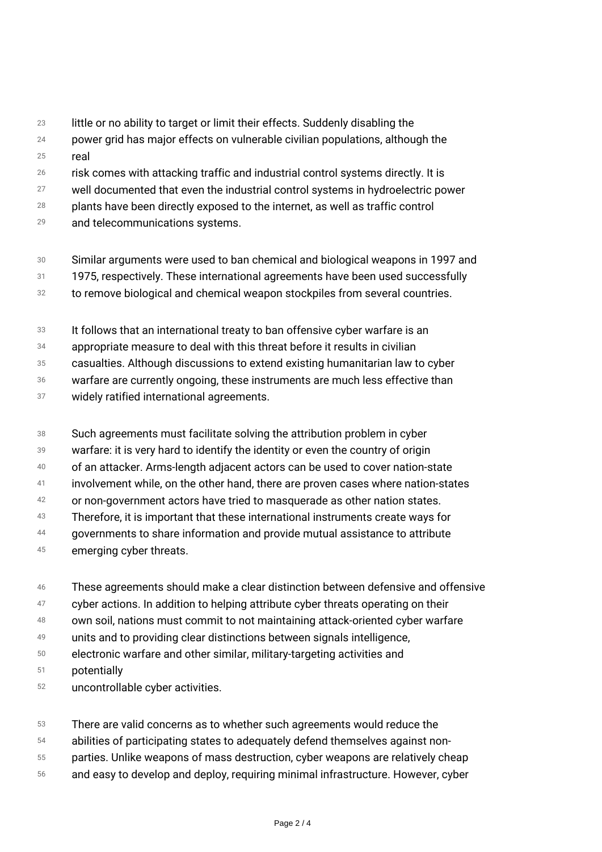- *23 little or no ability to target or limit their effects. Suddenly disabling the*
- *24 25 power grid has major effects on vulnerable civilian populations, although the real*
- *26 risk comes with attacking traffic and industrial control systems directly. It is*
- *27 well documented that even the industrial control systems in hydroelectric power*
- *28 plants have been directly exposed to the internet, as well as traffic control*
- *29 and telecommunications systems.*
- *30 31 Similar arguments were used to ban chemical and biological weapons in 1997 and 1975, respectively. These international agreements have been used successfully*
- *32 to remove biological and chemical weapon stockpiles from several countries.*
- *33 It follows that an international treaty to ban offensive cyber warfare is an*
- *34 appropriate measure to deal with this threat before it results in civilian*
- *35 casualties. Although discussions to extend existing humanitarian law to cyber*
- *36 warfare are currently ongoing, these instruments are much less effective than*
- *37 widely ratified international agreements.*
- *38 Such agreements must facilitate solving the attribution problem in cyber*
- *39 warfare: it is very hard to identify the identity or even the country of origin*
- *40 of an attacker. Arms-length adjacent actors can be used to cover nation-state*
- *41 involvement while, on the other hand, there are proven cases where nation-states*
- *42 or non-government actors have tried to masquerade as other nation states.*
- *43 Therefore, it is important that these international instruments create ways for*
- *44 governments to share information and provide mutual assistance to attribute*
- *45 emerging cyber threats.*
- *46 These agreements should make a clear distinction between defensive and offensive*
- *47 cyber actions. In addition to helping attribute cyber threats operating on their*
- *48 own soil, nations must commit to not maintaining attack-oriented cyber warfare*
- *49 units and to providing clear distinctions between signals intelligence,*
- *50 electronic warfare and other similar, military-targeting activities and*
- *51 potentially*
- *52 uncontrollable cyber activities.*
- *53 There are valid concerns as to whether such agreements would reduce the*
- *54 abilities of participating states to adequately defend themselves against non-*
- *55 parties. Unlike weapons of mass destruction, cyber weapons are relatively cheap*
- *56 and easy to develop and deploy, requiring minimal infrastructure. However, cyber*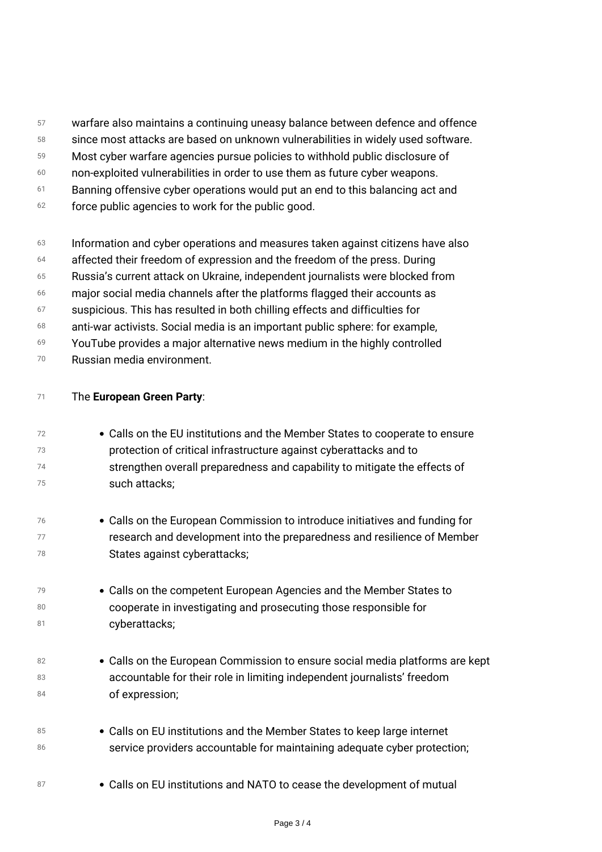- *57 warfare also maintains a continuing uneasy balance between defence and offence*
- *58 since most attacks are based on unknown vulnerabilities in widely used software.*
- *59 Most cyber warfare agencies pursue policies to withhold public disclosure of*
- *60 non-exploited vulnerabilities in order to use them as future cyber weapons.*
- *61 Banning offensive cyber operations would put an end to this balancing act and*
- *62 force public agencies to work for the public good.*
- *63 Information and cyber operations and measures taken against citizens have also*
- *64 affected their freedom of expression and the freedom of the press. During*
- *65 Russia's current attack on Ukraine, independent journalists were blocked from*
- *66 major social media channels after the platforms flagged their accounts as*
- *67 suspicious. This has resulted in both chilling effects and difficulties for*
- *68 anti-war activists. Social media is an important public sphere: for example,*
- *69 YouTube provides a major alternative news medium in the highly controlled*
- *70 Russian media environment.*

| 71 | The European Green Party:                                                    |
|----|------------------------------------------------------------------------------|
| 72 | • Calls on the EU institutions and the Member States to cooperate to ensure  |
| 73 | protection of critical infrastructure against cyberattacks and to            |
| 74 | strengthen overall preparedness and capability to mitigate the effects of    |
| 75 | such attacks;                                                                |
| 76 | • Calls on the European Commission to introduce initiatives and funding for  |
| 77 | research and development into the preparedness and resilience of Member      |
| 78 | States against cyberattacks;                                                 |
| 79 | • Calls on the competent European Agencies and the Member States to          |
| 80 | cooperate in investigating and prosecuting those responsible for             |
| 81 | cyberattacks;                                                                |
| 82 | • Calls on the European Commission to ensure social media platforms are kept |
| 83 | accountable for their role in limiting independent journalists' freedom      |
| 84 | of expression;                                                               |
| 85 | • Calls on EU institutions and the Member States to keep large internet      |
| 86 | service providers accountable for maintaining adequate cyber protection;     |
| 87 | • Calls on EU institutions and NATO to cease the development of mutual       |